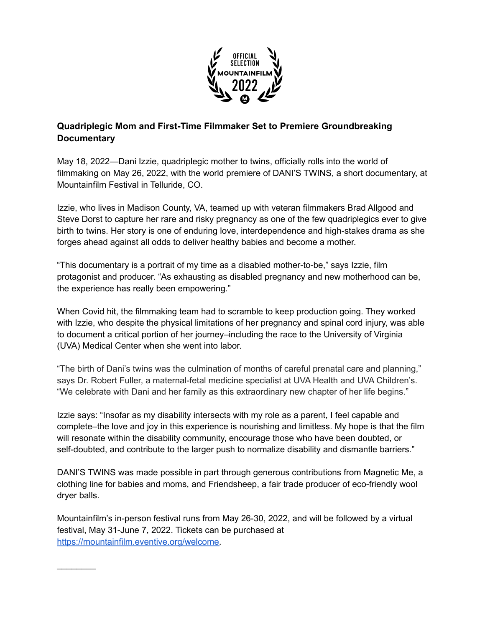

## **Quadriplegic Mom and First-Time Filmmaker Set to Premiere Groundbreaking Documentary**

May 18, 2022—Dani Izzie, quadriplegic mother to twins, officially rolls into the world of filmmaking on May 26, 2022, with the world premiere of DANI'S TWINS, a short documentary, at Mountainfilm Festival in Telluride, CO.

Izzie, who lives in Madison County, VA, teamed up with veteran filmmakers Brad Allgood and Steve Dorst to capture her rare and risky pregnancy as one of the few quadriplegics ever to give birth to twins. Her story is one of enduring love, interdependence and high-stakes drama as she forges ahead against all odds to deliver healthy babies and become a mother.

"This documentary is a portrait of my time as a disabled mother-to-be," says Izzie, film protagonist and producer. "As exhausting as disabled pregnancy and new motherhood can be, the experience has really been empowering."

When Covid hit, the filmmaking team had to scramble to keep production going. They worked with Izzie, who despite the physical limitations of her pregnancy and spinal cord injury, was able to document a critical portion of her journey–including the race to the University of Virginia (UVA) Medical Center when she went into labor.

"The birth of Dani's twins was the culmination of months of careful prenatal care and planning," says Dr. Robert Fuller, a maternal-fetal medicine specialist at UVA Health and UVA Children's. "We celebrate with Dani and her family as this extraordinary new chapter of her life begins."

Izzie says: "Insofar as my disability intersects with my role as a parent, I feel capable and complete–the love and joy in this experience is nourishing and limitless. My hope is that the film will resonate within the disability community, encourage those who have been doubted, or self-doubted, and contribute to the larger push to normalize disability and dismantle barriers."

DANI'S TWINS was made possible in part through generous contributions from Magnetic Me, a clothing line for babies and moms, and Friendsheep, a fair trade producer of eco-friendly wool dryer balls.

Mountainfilm's in-person festival runs from May 26-30, 2022, and will be followed by a virtual festival, May 31-June 7, 2022. Tickets can be purchased at [https://mountainfilm.eventive.org/welcome.](https://mountainfilm.eventive.org/welcome)

 $\mathcal{L}$